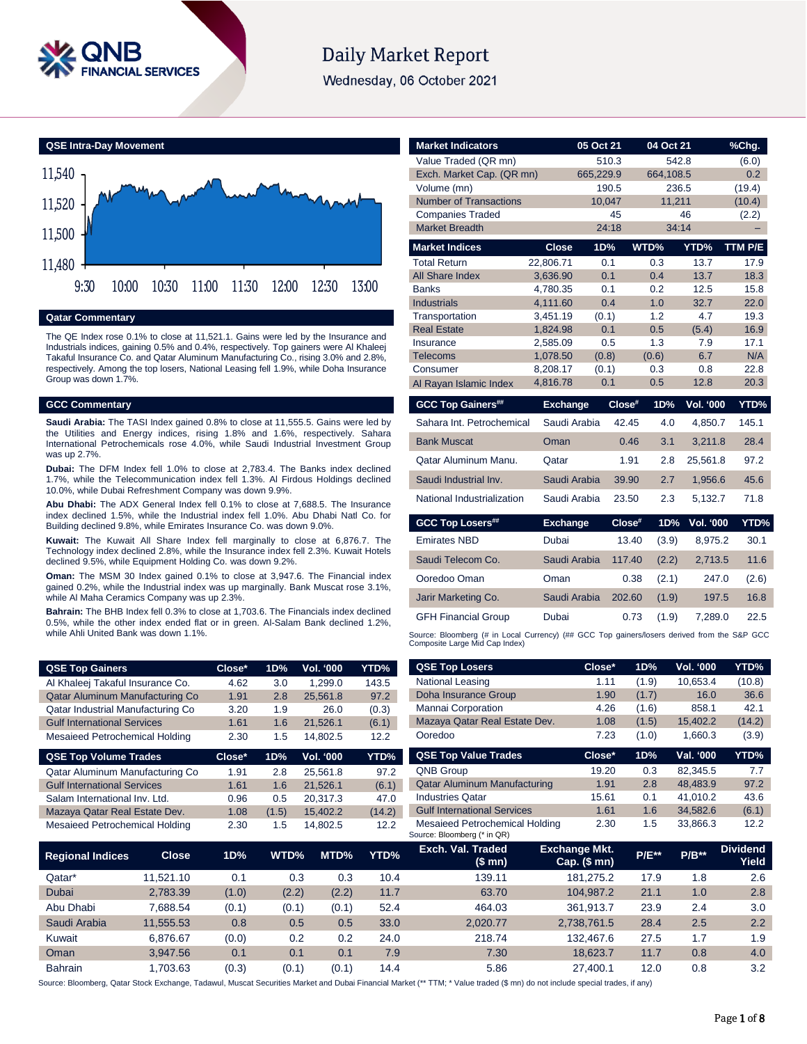

# **Daily Market Report**

Wednesday, 06 October 2021



## **Qatar Commentary**

The QE Index rose 0.1% to close at 11,521.1. Gains were led by the Insurance and Industrials indices, gaining 0.5% and 0.4%, respectively. Top gainers were Al Khaleej Takaful Insurance Co. and Qatar Aluminum Manufacturing Co., rising 3.0% and 2.8%, respectively. Among the top losers, National Leasing fell 1.9%, while Doha Insurance Group was down 1.7%.

# **GCC Commentary**

**Saudi Arabia:** The TASI Index gained 0.8% to close at 11,555.5. Gains were led by the Utilities and Energy indices, rising 1.8% and 1.6%, respectively. Sahara International Petrochemicals rose 4.0%, while Saudi Industrial Investment Group was up 2.7%.

**Dubai:** The DFM Index fell 1.0% to close at 2,783.4. The Banks index declined 1.7%, while the Telecommunication index fell 1.3%. Al Firdous Holdings declined 10.0%, while Dubai Refreshment Company was down 9.9%.

**Abu Dhabi:** The ADX General Index fell 0.1% to close at 7,688.5. The Insurance index declined 1.5%, while the Industrial index fell 1.0%. Abu Dhabi Natl Co. for Building declined 9.8%, while Emirates Insurance Co. was down 9.0%.

**Kuwait:** The Kuwait All Share Index fell marginally to close at 6,876.7. The Technology index declined 2.8%, while the Insurance index fell 2.3%. Kuwait Hotels declined 9.5%, while Equipment Holding Co. was down 9.2%.

**Oman:** The MSM 30 Index gained 0.1% to close at 3,947.6. The Financial index gained 0.2%, while the Industrial index was up marginally. Bank Muscat rose 3.1%, while Al Maha Ceramics Company was up 2.3%.

**Bahrain:** The BHB Index fell 0.3% to close at 1,703.6. The Financials index declined 0.5%, while the other index ended flat or in green. Al-Salam Bank declined 1.2%, while Ahli United Bank was down 1.1%.

| <b>QSE Top Gainers</b>             | Close* | 1D% | <b>Vol. '000</b> | YTD%  |
|------------------------------------|--------|-----|------------------|-------|
| Al Khaleej Takaful Insurance Co.   | 4.62   | 3.0 | 1.299.0          | 143.5 |
| Qatar Aluminum Manufacturing Co    | 1.91   | 2.8 | 25.561.8         | 97.2  |
| Qatar Industrial Manufacturing Co  | 3.20   | 1.9 | 26.0             | (0.3) |
| <b>Gulf International Services</b> | 1.61   | 1.6 | 21.526.1         | (6.1) |
| Mesaieed Petrochemical Holding     | 2.30   | 1.5 | 14.802.5         | 12.2  |

| <b>QSE Top Volume Trades</b>       | Close* | 1D%   | Vol. '000 | YTD%   |
|------------------------------------|--------|-------|-----------|--------|
| Qatar Aluminum Manufacturing Co    | 1.91   | 2.8   | 25.561.8  | 97.2   |
| <b>Gulf International Services</b> | 1.61   | 1.6   | 21.526.1  | (6.1)  |
| Salam International Inv. Ltd.      | 0.96   | 0.5   | 20.317.3  | 47.0   |
| Mazaya Qatar Real Estate Dev.      | 1.08   | (1.5) | 15.402.2  | (14.2) |
| Mesaieed Petrochemical Holding     | 2.30   | 1.5   | 14.802.5  | 12.2   |

| <b>Market Indicators</b>                                                                    |                      | 05 Oct 21    |           | 04 Oct 21  |                  | %Chq.          |  |  |  |
|---------------------------------------------------------------------------------------------|----------------------|--------------|-----------|------------|------------------|----------------|--|--|--|
| Value Traded (QR mn)                                                                        |                      | 510.3        |           | 542.8      |                  | (6.0)          |  |  |  |
| Exch. Market Cap. (QR mn)                                                                   |                      | 665.229.9    |           | 664,108.5  |                  | 0.2            |  |  |  |
| Volume (mn)                                                                                 |                      | 190.5        |           | 236.5      |                  | (19.4)         |  |  |  |
| <b>Number of Transactions</b>                                                               |                      | 10,047       |           | 11,211     |                  | (10.4)         |  |  |  |
| <b>Companies Traded</b>                                                                     |                      | 45           |           |            | 46               | (2.2)          |  |  |  |
| <b>Market Breadth</b>                                                                       |                      | 24:18        |           | 34:14      |                  |                |  |  |  |
| <b>Market Indices</b>                                                                       | Close                | 1D%          |           | WTD%       | YTD%             | <b>TTM P/E</b> |  |  |  |
| <b>Total Return</b>                                                                         | 22,806.71            | 0.1          |           | 0.3        | 13.7             | 17.9           |  |  |  |
| All Share Index                                                                             | 3,636.90             | 0.1          |           | 0.4        | 13.7             | 18.3           |  |  |  |
| <b>Banks</b>                                                                                | 4.780.35             | 0.1          |           | 0.2        | 12.5             | 15.8           |  |  |  |
| <b>Industrials</b>                                                                          | 4,111.60             | 0.4          |           | 1.0        | 32.7             | 22.0           |  |  |  |
| Transportation                                                                              | 3,451.19             | (0.1)        |           | 1.2        | 4.7              | 19.3           |  |  |  |
| <b>Real Estate</b>                                                                          | 1,824.98             | 0.1          |           | 0.5        | (5.4)            | 16.9           |  |  |  |
| Insurance                                                                                   | 2.585.09             | 0.5          |           | 1.3        | 7.9              | 17.1           |  |  |  |
| <b>Telecoms</b>                                                                             | 1,078.50             | (0.8)        |           | (0.6)      | 6.7              | N/A            |  |  |  |
| Consumer                                                                                    | 8,208.17<br>4,816.78 | (0.1)<br>0.1 |           | 0.3<br>0.5 | 0.8<br>12.8      | 22.8<br>20.3   |  |  |  |
| Al Rayan Islamic Index                                                                      |                      |              |           |            |                  |                |  |  |  |
| <b>GCC Top Gainers##</b>                                                                    | <b>Exchange</b>      |              | $Close^*$ | 1D%        | Vol. '000        | YTD%           |  |  |  |
| Sahara Int. Petrochemical                                                                   | Saudi Arabia         |              | 42.45     | 4.0        | 4.850.7          | 145.1          |  |  |  |
| <b>Bank Muscat</b>                                                                          | Oman                 |              | 0.46      | 3.1        | 3.211.8          | 28.4           |  |  |  |
| Qatar Aluminum Manu.                                                                        | Qatar                |              | 1.91      | 2.8        | 25,561.8         | 97.2           |  |  |  |
| Saudi Industrial Inv.                                                                       | Saudi Arabia         |              | 39.90     | 2.7        | 1.956.6          | 45.6           |  |  |  |
| National Industrialization                                                                  | Saudi Arabia         |              | 23.50     | 2.3        | 5,132.7          | 71.8           |  |  |  |
| <b>GCC Top Losers##</b>                                                                     | <b>Exchange</b>      |              | Close#    | 1D%        | <b>Vol. '000</b> | YTD%           |  |  |  |
| <b>Emirates NBD</b>                                                                         | Dubai                |              | 13.40     | (3.9)      | 8,975.2          | 30.1           |  |  |  |
| Saudi Telecom Co.                                                                           | Saudi Arabia         |              | 117.40    | (2.2)      | 2,713.5          | 11.6           |  |  |  |
| Ooredoo Oman                                                                                | Oman                 |              | 0.38      | (2.1)      | 247.0            | (2.6)          |  |  |  |
| Jarir Marketing Co.                                                                         | Saudi Arabia         |              | 202.60    | (1.9)      | 197.5            | 16.8           |  |  |  |
| <b>GFH Financial Group</b>                                                                  | Dubai                |              | 0.73      | (1.9)      | 7,289.0          | 22.5           |  |  |  |
| Source: Bloomberg (# in Local Currency) (## GCC Top gainers/losers derived from the S&P GCC |                      |              |           |            |                  |                |  |  |  |
| Composite Large Mid Cap Index)                                                              |                      |              |           |            |                  |                |  |  |  |

| <b>QSE Top Losers</b>                                         | Close*                                 | 1D%                  | <b>Vol. '000</b> | YTD%                     |
|---------------------------------------------------------------|----------------------------------------|----------------------|------------------|--------------------------|
| <b>National Leasing</b>                                       | 1.11                                   | (1.9)                | 10.653.4         | (10.8)                   |
| Doha Insurance Group                                          | 1.90                                   | (1.7)                | 16.0             | 36.6                     |
| Mannai Corporation                                            | 4.26                                   | (1.6)                | 858.1            | 42.1                     |
| Mazaya Qatar Real Estate Dev.                                 | 1.08                                   | (1.5)                | 15,402.2         | (14.2)                   |
| Ooredoo                                                       | 7.23                                   | (1.0)                | 1,660.3          | (3.9)                    |
| <b>QSE Top Value Trades</b>                                   | Close*                                 | 1D%                  | Val. '000        | YTD%                     |
| QNB Group                                                     | 19.20                                  | 0.3                  | 82,345.5         | 7.7                      |
| <b>Qatar Aluminum Manufacturing</b>                           | 1.91                                   | 2.8                  | 48,483.9         | 97.2                     |
| <b>Industries Qatar</b>                                       | 15.61                                  | 0.1                  | 41.010.2         | 43.6                     |
| <b>Gulf International Services</b>                            | 1.61                                   | 1.6                  | 34,582.6         | (6.1)                    |
| Mesaieed Petrochemical Holding<br>Source: Bloomberg (* in QR) | 2.30                                   | 1.5                  | 33.866.3         | 12.2                     |
| Exch. Val. Traded<br>$(S \text{ mn})$                         | <b>Exchange Mkt.</b><br>$Cap.$ (\$ mn) | <b>P/E**</b>         | $P/B**$          | <b>Dividend</b><br>Yield |
| 139.11                                                        | 181,275.2                              | 17.9                 | 1.8              | 2.6                      |
| $\sim$ $\sim$ $\sim$                                          | 1010222                                | $\sim$ $\sim$ $\sim$ | $\sim$           | $\sim$ $\sim$            |

| <b>Regional Indices</b> | Close:    | 1D%   | WTD%  | MTD%  | YTD% | Exch. Val. Traded<br>(\$ mn) | <b>Exchange Mkt.</b><br>Cap. $($$ mn $)$ | <b>P/E**</b> | $P/B**$ | <b>Dividend</b><br>Yield |
|-------------------------|-----------|-------|-------|-------|------|------------------------------|------------------------------------------|--------------|---------|--------------------------|
| Qatar*                  | 11.521.10 | 0.1   | 0.3   | 0.3   | 10.4 | 139.11                       | 181.275.2                                | 17.9         | 1.8     | 2.6                      |
| Dubai                   | 2.783.39  | (1.0) | (2.2) | (2.2) | 11.7 | 63.70                        | 104.987.2                                | 21.1         | 1.0     | 2.8                      |
| Abu Dhabi               | .688.54   | (0.1) | (0.1) | (0.1) | 52.4 | 464.03                       | 361.913.7                                | 23.9         | 2.4     | 3.0                      |
| Saudi Arabia            | 11,555.53 | 0.8   | 0.5   | 0.5   | 33.0 | 2.020.77                     | 2,738,761.5                              | 28.4         | 2.5     | 2.2                      |
| Kuwait                  | 6.876.67  | (0.0) | 0.2   | 0.2   | 24.0 | 218.74                       | 132.467.6                                | 27.5         | 1.7     | 1.9                      |
| Oman                    | 3.947.56  | 0.1   | 0.1   | 0.1   | 7.9  | 7.30                         | 18.623.7                                 | 11.7         | 0.8     | 4.0                      |
| <b>Bahrain</b>          | .703.63   | (0.3) | (0.1) | (0.1) | 14.4 | 5.86                         | 27.400.1                                 | 12.0         | 0.8     | 3.2                      |

Source: Bloomberg, Qatar Stock Exchange, Tadawul, Muscat Securities Market and Dubai Financial Market (\*\* TTM; \* Value traded (\$ mn) do not include special trades, if any)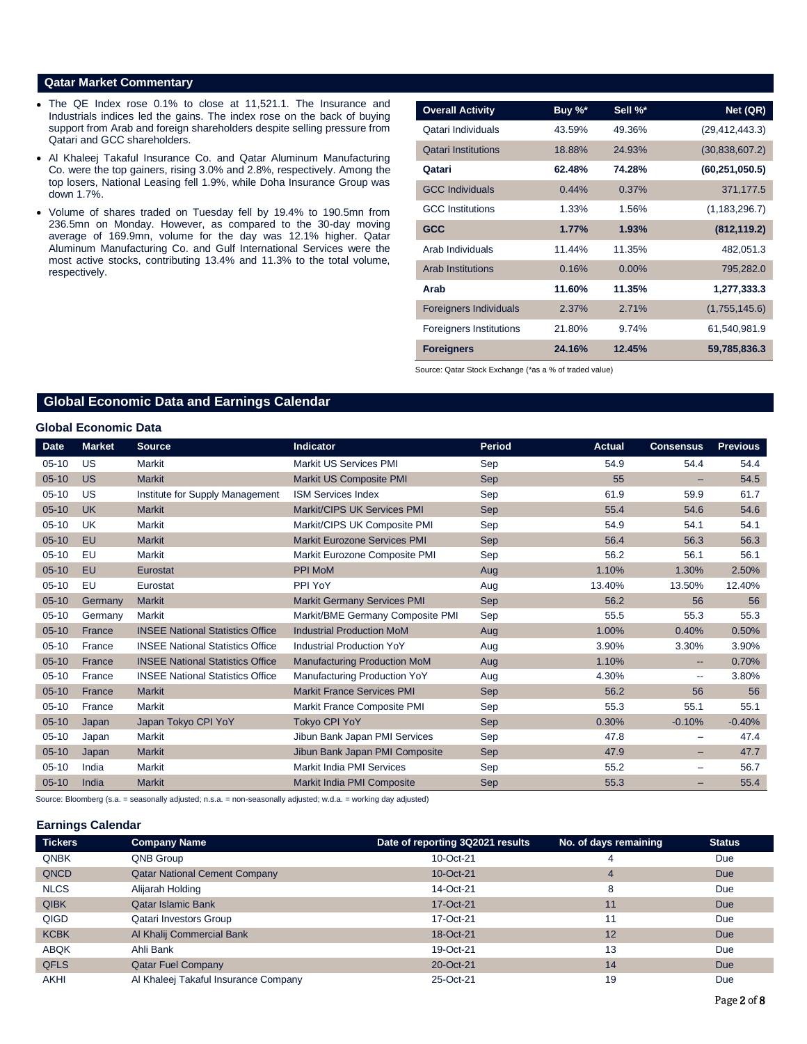# **Qatar Market Commentary**

- The QE Index rose 0.1% to close at 11,521.1. The Insurance and Industrials indices led the gains. The index rose on the back of buying support from Arab and foreign shareholders despite selling pressure from Qatari and GCC shareholders.
- Al Khaleej Takaful Insurance Co. and Qatar Aluminum Manufacturing Co. were the top gainers, rising 3.0% and 2.8%, respectively. Among the top losers, National Leasing fell 1.9%, while Doha Insurance Group was down 1.7%.
- Volume of shares traded on Tuesday fell by 19.4% to 190.5mn from 236.5mn on Monday. However, as compared to the 30-day moving average of 169.9mn, volume for the day was 12.1% higher. Qatar Aluminum Manufacturing Co. and Gulf International Services were the most active stocks, contributing 13.4% and 11.3% to the total volume, respectively.

| <b>Overall Activity</b>        | Buy %* | Sell %*  | Net (QR)         |
|--------------------------------|--------|----------|------------------|
| Qatari Individuals             | 43.59% | 49.36%   | (29, 412, 443.3) |
| <b>Qatari Institutions</b>     | 18.88% | 24.93%   | (30, 838, 607.2) |
| Qatari                         | 62.48% | 74.28%   | (60, 251, 050.5) |
| <b>GCC Individuals</b>         | 0.44%  | 0.37%    | 371,177.5        |
| <b>GCC</b> Institutions        | 1.33%  | 1.56%    | (1, 183, 296.7)  |
| <b>GCC</b>                     | 1.77%  | 1.93%    | (812, 119.2)     |
| Arab Individuals               | 11.44% | 11.35%   | 482,051.3        |
| <b>Arab Institutions</b>       | 0.16%  | $0.00\%$ | 795,282.0        |
| Arab                           | 11.60% | 11.35%   | 1,277,333.3      |
| <b>Foreigners Individuals</b>  | 2.37%  | 2.71%    | (1,755,145.6)    |
| <b>Foreigners Institutions</b> | 21.80% | 9.74%    | 61,540,981.9     |
| <b>Foreigners</b>              | 24.16% | 12.45%   | 59,785,836.3     |

Source: Qatar Stock Exchange (\*as a % of traded value)

# **Global Economic Data and Earnings Calendar**

## **Global Economic Data**

| <b>Date</b> | <b>Market</b> | <b>Source</b>                           | <b>Indicator</b>                    | <b>Period</b> | <b>Actual</b> | <b>Consensus</b> | <b>Previous</b> |
|-------------|---------------|-----------------------------------------|-------------------------------------|---------------|---------------|------------------|-----------------|
| $05-10$     | US            | <b>Markit</b>                           | <b>Markit US Services PMI</b>       | Sep           | 54.9          | 54.4             | 54.4            |
| $05-10$     | <b>US</b>     | <b>Markit</b>                           | <b>Markit US Composite PMI</b>      | <b>Sep</b>    | 55            | -                | 54.5            |
| $05-10$     | US            | Institute for Supply Management         | <b>ISM Services Index</b>           | Sep           | 61.9          | 59.9             | 61.7            |
| $05-10$     | <b>UK</b>     | <b>Markit</b>                           | Markit/CIPS UK Services PMI         | Sep           | 55.4          | 54.6             | 54.6            |
| $05-10$     | UK            | Markit                                  | Markit/CIPS UK Composite PMI        | Sep           | 54.9          | 54.1             | 54.1            |
| $05-10$     | EU            | <b>Markit</b>                           | <b>Markit Eurozone Services PMI</b> | <b>Sep</b>    | 56.4          | 56.3             | 56.3            |
| $05-10$     | EU            | Markit                                  | Markit Eurozone Composite PMI       | Sep           | 56.2          | 56.1             | 56.1            |
| $05-10$     | EU            | Eurostat                                | <b>PPI MoM</b>                      | Aug           | 1.10%         | 1.30%            | 2.50%           |
| $05-10$     | EU            | Eurostat                                | PPI YoY                             | Aug           | 13.40%        | 13.50%           | 12.40%          |
| $05-10$     | Germany       | <b>Markit</b>                           | <b>Markit Germany Services PMI</b>  | Sep           | 56.2          | 56               | 56              |
| $05-10$     | Germany       | <b>Markit</b>                           | Markit/BME Germany Composite PMI    | Sep           | 55.5          | 55.3             | 55.3            |
| $05-10$     | France        | <b>INSEE National Statistics Office</b> | <b>Industrial Production MoM</b>    | Aug           | 1.00%         | 0.40%            | 0.50%           |
| $05-10$     | France        | <b>INSEE National Statistics Office</b> | <b>Industrial Production YoY</b>    | Aug           | 3.90%         | 3.30%            | 3.90%           |
| $05-10$     | France        | <b>INSEE National Statistics Office</b> | <b>Manufacturing Production MoM</b> | Aug           | 1.10%         | --               | 0.70%           |
| $05-10$     | France        | <b>INSEE National Statistics Office</b> | Manufacturing Production YoY        | Aug           | 4.30%         | --               | 3.80%           |
| $05-10$     | France        | <b>Markit</b>                           | <b>Markit France Services PMI</b>   | Sep           | 56.2          | 56               | 56              |
| $05-10$     | France        | <b>Markit</b>                           | Markit France Composite PMI         | Sep           | 55.3          | 55.1             | 55.1            |
| $05-10$     | Japan         | Japan Tokyo CPI YoY                     | <b>Tokyo CPI YoY</b>                | <b>Sep</b>    | 0.30%         | $-0.10%$         | $-0.40%$        |
| $05-10$     | Japan         | Markit                                  | Jibun Bank Japan PMI Services       | Sep           | 47.8          | -                | 47.4            |
| $05 - 10$   | Japan         | <b>Markit</b>                           | Jibun Bank Japan PMI Composite      | Sep           | 47.9          | -                | 47.7            |
| $05-10$     | India         | Markit                                  | Markit India PMI Services           | Sep           | 55.2          | -                | 56.7            |
| $05-10$     | India         | <b>Markit</b>                           | Markit India PMI Composite          | Sep           | 55.3          |                  | 55.4            |

Source: Bloomberg (s.a. = seasonally adjusted; n.s.a. = non-seasonally adjusted; w.d.a. = working day adjusted)

## **Earnings Calendar**

| <b>Tickers</b> | <b>Company Name</b>                  | Date of reporting 3Q2021 results | No. of days remaining | <b>Status</b> |
|----------------|--------------------------------------|----------------------------------|-----------------------|---------------|
| <b>QNBK</b>    | QNB Group                            | 10-Oct-21                        | 4                     | Due           |
| QNCD           | <b>Qatar National Cement Company</b> | 10-Oct-21                        | 4                     | <b>Due</b>    |
| <b>NLCS</b>    | Alijarah Holding                     | 14-Oct-21                        | 8                     | Due           |
| <b>QIBK</b>    | <b>Qatar Islamic Bank</b>            | 17-Oct-21                        | 11                    | <b>Due</b>    |
| QIGD           | <b>Qatari Investors Group</b>        | 17-Oct-21                        | 11                    | Due           |
| <b>KCBK</b>    | Al Khalij Commercial Bank            | 18-Oct-21                        | 12                    | <b>Due</b>    |
| <b>ABQK</b>    | Ahli Bank                            | 19-Oct-21                        | 13                    | <b>Due</b>    |
| <b>QFLS</b>    | <b>Qatar Fuel Company</b>            | 20-Oct-21                        | 14                    | <b>Due</b>    |
| <b>AKHI</b>    | Al Khaleej Takaful Insurance Company | 25-Oct-21                        | 19                    | Due           |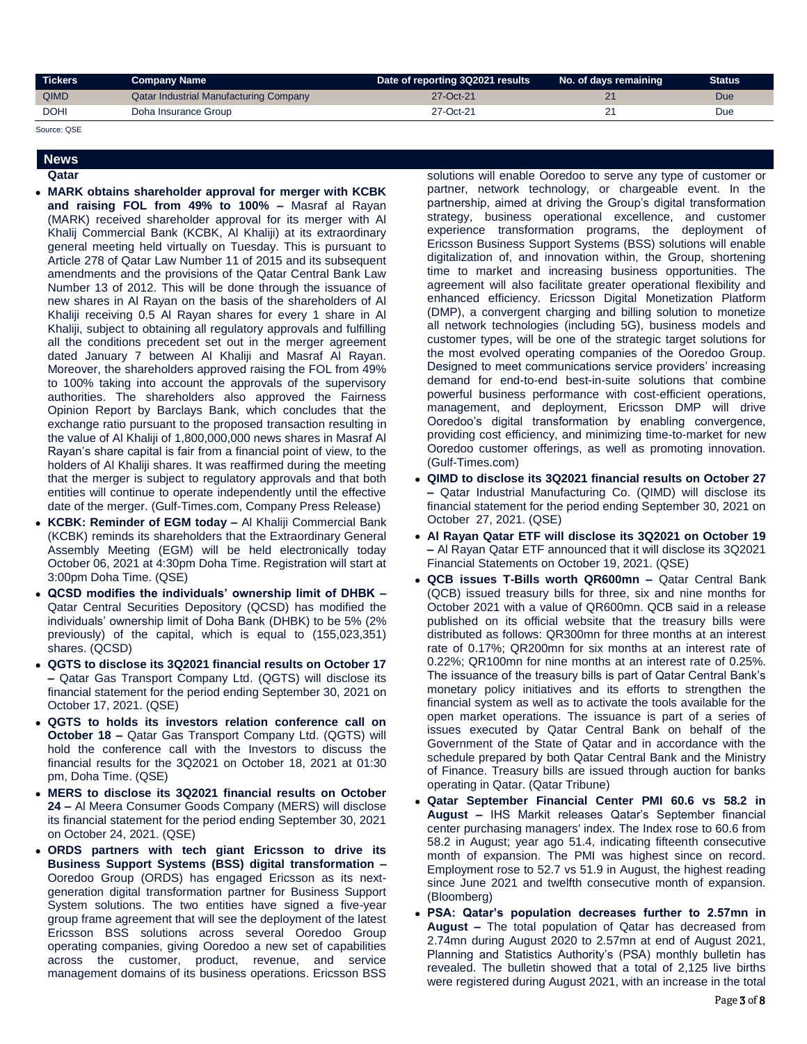| <b>Tickers</b> | <b>Company Name</b>                           | Date of reporting 3Q2021 results | No. of days remaining | <b>Status</b> |
|----------------|-----------------------------------------------|----------------------------------|-----------------------|---------------|
| <b>QIMD</b>    | <b>Qatar Industrial Manufacturing Company</b> | 27-Oct-21                        |                       | Due           |
| <b>DOHI</b>    | Doha Insurance Group                          | 27-Oct-21                        |                       | Due           |

Source: QSE

# **News Qatar**

- **MARK obtains shareholder approval for merger with KCBK and raising FOL from 49% to 100% –** Masraf al Rayan (MARK) received shareholder approval for its merger with Al Khalij Commercial Bank (KCBK, Al Khaliji) at its extraordinary general meeting held virtually on Tuesday. This is pursuant to Article 278 of Qatar Law Number 11 of 2015 and its subsequent amendments and the provisions of the Qatar Central Bank Law Number 13 of 2012. This will be done through the issuance of new shares in Al Rayan on the basis of the shareholders of Al Khaliji receiving 0.5 Al Rayan shares for every 1 share in Al Khaliji, subject to obtaining all regulatory approvals and fulfilling all the conditions precedent set out in the merger agreement dated January 7 between Al Khaliji and Masraf Al Rayan. Moreover, the shareholders approved raising the FOL from 49% to 100% taking into account the approvals of the supervisory authorities. The shareholders also approved the Fairness Opinion Report by Barclays Bank, which concludes that the exchange ratio pursuant to the proposed transaction resulting in the value of Al Khaliji of 1,800,000,000 news shares in Masraf Al Rayan's share capital is fair from a financial point of view, to the holders of Al Khaliji shares. It was reaffirmed during the meeting that the merger is subject to regulatory approvals and that both entities will continue to operate independently until the effective date of the merger. (Gulf-Times.com, Company Press Release)
- **KCBK: Reminder of EGM today –** Al Khaliji Commercial Bank (KCBK) reminds its shareholders that the Extraordinary General Assembly Meeting (EGM) will be held electronically today October 06, 2021 at 4:30pm Doha Time. Registration will start at 3:00pm Doha Time. (QSE)
- **QCSD modifies the individuals' ownership limit of DHBK –** Qatar Central Securities Depository (QCSD) has modified the individuals' ownership limit of Doha Bank (DHBK) to be 5% (2% previously) of the capital, which is equal to (155,023,351) shares. (QCSD)
- **QGTS to disclose its 3Q2021 financial results on October 17 –** Qatar Gas Transport Company Ltd. (QGTS) will disclose its financial statement for the period ending September 30, 2021 on October 17, 2021. (QSE)
- **QGTS to holds its investors relation conference call on October 18 –** Qatar Gas Transport Company Ltd. (QGTS) will hold the conference call with the Investors to discuss the financial results for the 3Q2021 on October 18, 2021 at 01:30 pm, Doha Time. (QSE)
- **MERS to disclose its 3Q2021 financial results on October 24 –** Al Meera Consumer Goods Company (MERS) will disclose its financial statement for the period ending September 30, 2021 on October 24, 2021. (QSE)
- **ORDS partners with tech giant Ericsson to drive its Business Support Systems (BSS) digital transformation –** Ooredoo Group (ORDS) has engaged Ericsson as its nextgeneration digital transformation partner for Business Support System solutions. The two entities have signed a five-year group frame agreement that will see the deployment of the latest Ericsson BSS solutions across several Ooredoo Group operating companies, giving Ooredoo a new set of capabilities across the customer, product, revenue, and service management domains of its business operations. Ericsson BSS

solutions will enable Ooredoo to serve any type of customer or partner, network technology, or chargeable event. In the partnership, aimed at driving the Group's digital transformation strategy, business operational excellence, and customer experience transformation programs, the deployment of Ericsson Business Support Systems (BSS) solutions will enable digitalization of, and innovation within, the Group, shortening time to market and increasing business opportunities. The agreement will also facilitate greater operational flexibility and enhanced efficiency. Ericsson Digital Monetization Platform (DMP), a convergent charging and billing solution to monetize all network technologies (including 5G), business models and customer types, will be one of the strategic target solutions for the most evolved operating companies of the Ooredoo Group. Designed to meet communications service providers' increasing demand for end-to-end best-in-suite solutions that combine powerful business performance with cost-efficient operations, management, and deployment, Ericsson DMP will drive Ooredoo's digital transformation by enabling convergence, providing cost efficiency, and minimizing time-to-market for new Ooredoo customer offerings, as well as promoting innovation. (Gulf-Times.com)

- **QIMD to disclose its 3Q2021 financial results on October 27 –** Qatar Industrial Manufacturing Co. (QIMD) will disclose its financial statement for the period ending September 30, 2021 on October 27, 2021. (QSE)
- **Al Rayan Qatar ETF will disclose its 3Q2021 on October 19 –** Al Rayan Qatar ETF announced that it will disclose its 3Q2021 Financial Statements on October 19, 2021. (QSE)
- **QCB issues T-Bills worth QR600mn –** Qatar Central Bank (QCB) issued treasury bills for three, six and nine months for October 2021 with a value of QR600mn. QCB said in a release published on its official website that the treasury bills were distributed as follows: QR300mn for three months at an interest rate of 0.17%; QR200mn for six months at an interest rate of 0.22%; QR100mn for nine months at an interest rate of 0.25%. The issuance of the treasury bills is part of Qatar Central Bank's monetary policy initiatives and its efforts to strengthen the financial system as well as to activate the tools available for the open market operations. The issuance is part of a series of issues executed by Qatar Central Bank on behalf of the Government of the State of Qatar and in accordance with the schedule prepared by both Qatar Central Bank and the Ministry of Finance. Treasury bills are issued through auction for banks operating in Qatar. (Qatar Tribune)
- **Qatar September Financial Center PMI 60.6 vs 58.2 in August –** IHS Markit releases Qatar's September financial center purchasing managers' index. The Index rose to 60.6 from 58.2 in August; year ago 51.4, indicating fifteenth consecutive month of expansion. The PMI was highest since on record. Employment rose to 52.7 vs 51.9 in August, the highest reading since June 2021 and twelfth consecutive month of expansion. (Bloomberg)
- **PSA: Qatar's population decreases further to 2.57mn in August –** The total population of Qatar has decreased from 2.74mn during August 2020 to 2.57mn at end of August 2021, Planning and Statistics Authority's (PSA) monthly bulletin has revealed. The bulletin showed that a total of 2,125 live births were registered during August 2021, with an increase in the total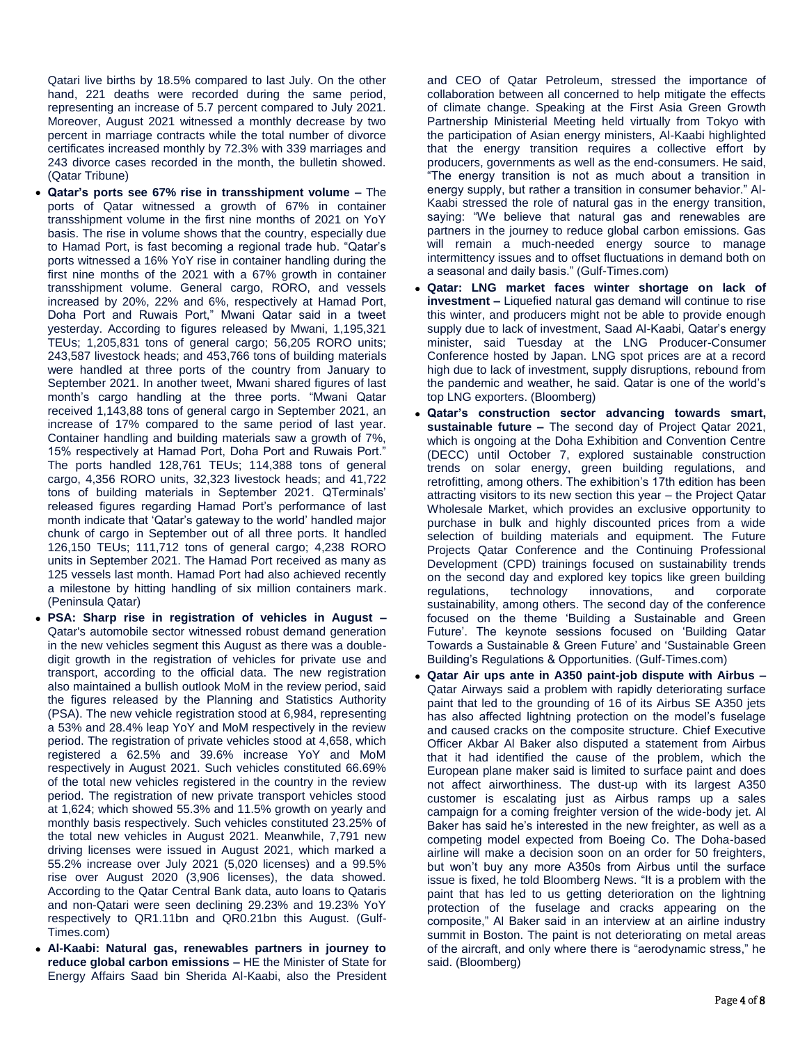Qatari live births by 18.5% compared to last July. On the other hand, 221 deaths were recorded during the same period, representing an increase of 5.7 percent compared to July 2021. Moreover, August 2021 witnessed a monthly decrease by two percent in marriage contracts while the total number of divorce certificates increased monthly by 72.3% with 339 marriages and 243 divorce cases recorded in the month, the bulletin showed. (Qatar Tribune)

- **Qatar's ports see 67% rise in transshipment volume –** The ports of Qatar witnessed a growth of 67% in container transshipment volume in the first nine months of 2021 on YoY basis. The rise in volume shows that the country, especially due to Hamad Port, is fast becoming a regional trade hub. "Qatar's ports witnessed a 16% YoY rise in container handling during the first nine months of the 2021 with a 67% growth in container transshipment volume. General cargo, RORO, and vessels increased by 20%, 22% and 6%, respectively at Hamad Port, Doha Port and Ruwais Port," Mwani Qatar said in a tweet yesterday. According to figures released by Mwani, 1,195,321 TEUs; 1,205,831 tons of general cargo; 56,205 RORO units; 243,587 livestock heads; and 453,766 tons of building materials were handled at three ports of the country from January to September 2021. In another tweet, Mwani shared figures of last month's cargo handling at the three ports. "Mwani Qatar received 1,143,88 tons of general cargo in September 2021, an increase of 17% compared to the same period of last year. Container handling and building materials saw a growth of 7%, 15% respectively at Hamad Port, Doha Port and Ruwais Port." The ports handled 128,761 TEUs; 114,388 tons of general cargo, 4,356 RORO units, 32,323 livestock heads; and 41,722 tons of building materials in September 2021. QTerminals' released figures regarding Hamad Port's performance of last month indicate that 'Qatar's gateway to the world' handled major chunk of cargo in September out of all three ports. It handled 126,150 TEUs; 111,712 tons of general cargo; 4,238 RORO units in September 2021. The Hamad Port received as many as 125 vessels last month. Hamad Port had also achieved recently a milestone by hitting handling of six million containers mark. (Peninsula Qatar)
- **PSA: Sharp rise in registration of vehicles in August –** Qatar's automobile sector witnessed robust demand generation in the new vehicles segment this August as there was a doubledigit growth in the registration of vehicles for private use and transport, according to the official data. The new registration also maintained a bullish outlook MoM in the review period, said the figures released by the Planning and Statistics Authority (PSA). The new vehicle registration stood at 6,984, representing a 53% and 28.4% leap YoY and MoM respectively in the review period. The registration of private vehicles stood at 4,658, which registered a 62.5% and 39.6% increase YoY and MoM respectively in August 2021. Such vehicles constituted 66.69% of the total new vehicles registered in the country in the review period. The registration of new private transport vehicles stood at 1,624; which showed 55.3% and 11.5% growth on yearly and monthly basis respectively. Such vehicles constituted 23.25% of the total new vehicles in August 2021. Meanwhile, 7,791 new driving licenses were issued in August 2021, which marked a 55.2% increase over July 2021 (5,020 licenses) and a 99.5% rise over August 2020 (3,906 licenses), the data showed. According to the Qatar Central Bank data, auto loans to Qataris and non-Qatari were seen declining 29.23% and 19.23% YoY respectively to QR1.11bn and QR0.21bn this August. (Gulf-Times.com)
- **Al-Kaabi: Natural gas, renewables partners in journey to reduce global carbon emissions –** HE the Minister of State for Energy Affairs Saad bin Sherida Al-Kaabi, also the President

and CEO of Qatar Petroleum, stressed the importance of collaboration between all concerned to help mitigate the effects of climate change. Speaking at the First Asia Green Growth Partnership Ministerial Meeting held virtually from Tokyo with the participation of Asian energy ministers, Al-Kaabi highlighted that the energy transition requires a collective effort by producers, governments as well as the end-consumers. He said, "The energy transition is not as much about a transition in energy supply, but rather a transition in consumer behavior." Al-Kaabi stressed the role of natural gas in the energy transition, saying: "We believe that natural gas and renewables are partners in the journey to reduce global carbon emissions. Gas will remain a much-needed energy source to manage intermittency issues and to offset fluctuations in demand both on a seasonal and daily basis." (Gulf-Times.com)

- **Qatar: LNG market faces winter shortage on lack of investment –** Liquefied natural gas demand will continue to rise this winter, and producers might not be able to provide enough supply due to lack of investment, Saad Al-Kaabi, Qatar's energy minister, said Tuesday at the LNG Producer-Consumer Conference hosted by Japan. LNG spot prices are at a record high due to lack of investment, supply disruptions, rebound from the pandemic and weather, he said. Qatar is one of the world's top LNG exporters. (Bloomberg)
- **Qatar's construction sector advancing towards smart, sustainable future –** The second day of Project Qatar 2021, which is ongoing at the Doha Exhibition and Convention Centre (DECC) until October 7, explored sustainable construction trends on solar energy, green building regulations, and retrofitting, among others. The exhibition's 17th edition has been attracting visitors to its new section this year – the Project Qatar Wholesale Market, which provides an exclusive opportunity to purchase in bulk and highly discounted prices from a wide selection of building materials and equipment. The Future Projects Qatar Conference and the Continuing Professional Development (CPD) trainings focused on sustainability trends on the second day and explored key topics like green building regulations, technology innovations, and corporate sustainability, among others. The second day of the conference focused on the theme 'Building a Sustainable and Green Future'. The keynote sessions focused on 'Building Qatar Towards a Sustainable & Green Future' and 'Sustainable Green Building's Regulations & Opportunities. (Gulf-Times.com)
- **Qatar Air ups ante in A350 paint-job dispute with Airbus –** Qatar Airways said a problem with rapidly deteriorating surface paint that led to the grounding of 16 of its Airbus SE A350 jets has also affected lightning protection on the model's fuselage and caused cracks on the composite structure. Chief Executive Officer Akbar Al Baker also disputed a statement from Airbus that it had identified the cause of the problem, which the European plane maker said is limited to surface paint and does not affect airworthiness. The dust-up with its largest A350 customer is escalating just as Airbus ramps up a sales campaign for a coming freighter version of the wide-body jet. Al Baker has said he's interested in the new freighter, as well as a competing model expected from Boeing Co. The Doha-based airline will make a decision soon on an order for 50 freighters, but won't buy any more A350s from Airbus until the surface issue is fixed, he told Bloomberg News. "It is a problem with the paint that has led to us getting deterioration on the lightning protection of the fuselage and cracks appearing on the composite," Al Baker said in an interview at an airline industry summit in Boston. The paint is not deteriorating on metal areas of the aircraft, and only where there is "aerodynamic stress," he said. (Bloomberg)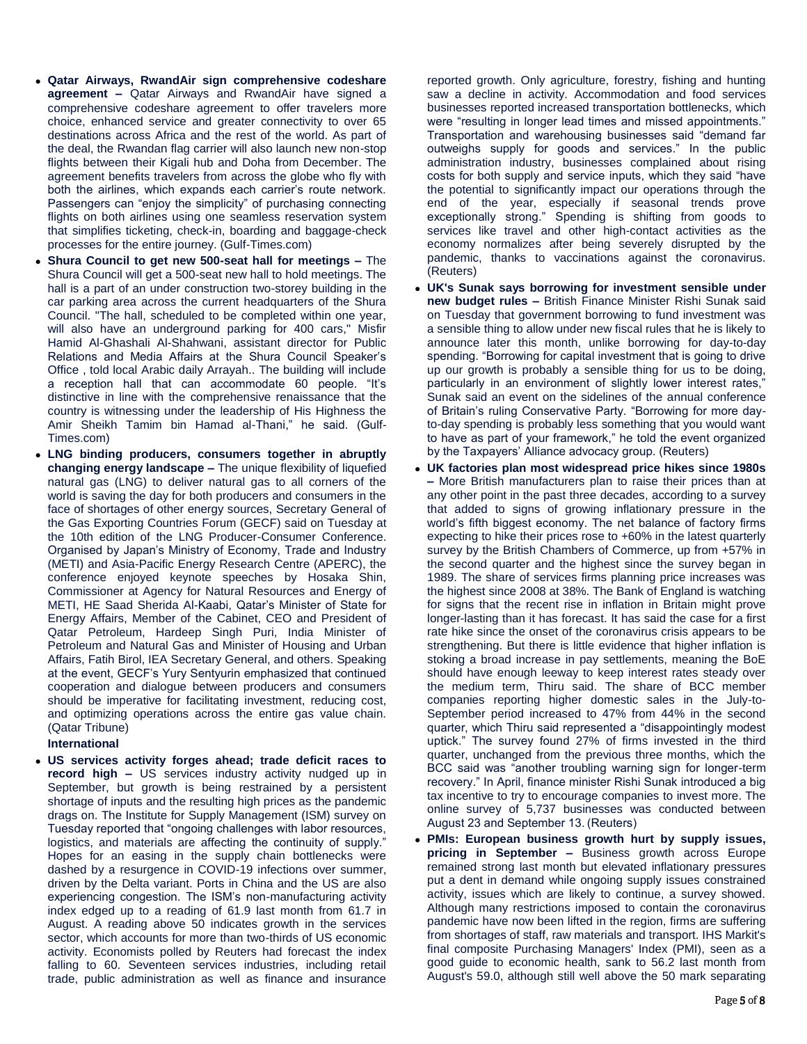- **Qatar Airways, RwandAir sign comprehensive codeshare agreement –** Qatar Airways and RwandAir have signed a comprehensive codeshare agreement to offer travelers more choice, enhanced service and greater connectivity to over 65 destinations across Africa and the rest of the world. As part of the deal, the Rwandan flag carrier will also launch new non-stop flights between their Kigali hub and Doha from December. The agreement benefits travelers from across the globe who fly with both the airlines, which expands each carrier's route network. Passengers can "enjoy the simplicity" of purchasing connecting flights on both airlines using one seamless reservation system that simplifies ticketing, check-in, boarding and baggage-check processes for the entire journey. (Gulf-Times.com)
- **Shura Council to get new 500-seat hall for meetings –** The Shura Council will get a 500-seat new hall to hold meetings. The hall is a part of an under construction two-storey building in the car parking area across the current headquarters of the Shura Council. "The hall, scheduled to be completed within one year, will also have an underground parking for 400 cars," Misfir Hamid Al-Ghashali Al-Shahwani, assistant director for Public Relations and Media Affairs at the Shura Council Speaker's Office , told local Arabic daily Arrayah.. The building will include a reception hall that can accommodate 60 people. "It's distinctive in line with the comprehensive renaissance that the country is witnessing under the leadership of His Highness the Amir Sheikh Tamim bin Hamad al-Thani," he said. (Gulf-Times.com)
- **LNG binding producers, consumers together in abruptly changing energy landscape –** The unique flexibility of liquefied natural gas (LNG) to deliver natural gas to all corners of the world is saving the day for both producers and consumers in the face of shortages of other energy sources, Secretary General of the Gas Exporting Countries Forum (GECF) said on Tuesday at the 10th edition of the LNG Producer-Consumer Conference. Organised by Japan's Ministry of Economy, Trade and Industry (METI) and Asia-Pacific Energy Research Centre (APERC), the conference enjoyed keynote speeches by Hosaka Shin, Commissioner at Agency for Natural Resources and Energy of METI, HE Saad Sherida Al-Kaabi, Qatar's Minister of State for Energy Affairs, Member of the Cabinet, CEO and President of Qatar Petroleum, Hardeep Singh Puri, India Minister of Petroleum and Natural Gas and Minister of Housing and Urban Affairs, Fatih Birol, IEA Secretary General, and others. Speaking at the event, GECF's Yury Sentyurin emphasized that continued cooperation and dialogue between producers and consumers should be imperative for facilitating investment, reducing cost, and optimizing operations across the entire gas value chain. (Qatar Tribune)

**International**

 **US services activity forges ahead; trade deficit races to record high –** US services industry activity nudged up in September, but growth is being restrained by a persistent shortage of inputs and the resulting high prices as the pandemic drags on. The Institute for Supply Management (ISM) survey on Tuesday reported that "ongoing challenges with labor resources, logistics, and materials are affecting the continuity of supply." Hopes for an easing in the supply chain bottlenecks were dashed by a resurgence in COVID-19 infections over summer, driven by the Delta variant. Ports in China and the US are also experiencing congestion. The ISM's non-manufacturing activity index edged up to a reading of 61.9 last month from 61.7 in August. A reading above 50 indicates growth in the services sector, which accounts for more than two-thirds of US economic activity. Economists polled by Reuters had forecast the index falling to 60. Seventeen services industries, including retail trade, public administration as well as finance and insurance

reported growth. Only agriculture, forestry, fishing and hunting saw a decline in activity. Accommodation and food services businesses reported increased transportation bottlenecks, which were "resulting in longer lead times and missed appointments." Transportation and warehousing businesses said "demand far outweighs supply for goods and services." In the public administration industry, businesses complained about rising costs for both supply and service inputs, which they said "have the potential to significantly impact our operations through the end of the year, especially if seasonal trends prove exceptionally strong." Spending is shifting from goods to services like travel and other high-contact activities as the economy normalizes after being severely disrupted by the pandemic, thanks to vaccinations against the coronavirus. (Reuters)

- **UK's Sunak says borrowing for investment sensible under new budget rules –** British Finance Minister Rishi Sunak said on Tuesday that government borrowing to fund investment was a sensible thing to allow under new fiscal rules that he is likely to announce later this month, unlike borrowing for day-to-day spending. "Borrowing for capital investment that is going to drive up our growth is probably a sensible thing for us to be doing, particularly in an environment of slightly lower interest rates," Sunak said an event on the sidelines of the annual conference of Britain's ruling Conservative Party. "Borrowing for more dayto-day spending is probably less something that you would want to have as part of your framework," he told the event organized by the Taxpayers' Alliance advocacy group. (Reuters)
- **UK factories plan most widespread price hikes since 1980s –** More British manufacturers plan to raise their prices than at any other point in the past three decades, according to a survey that added to signs of growing inflationary pressure in the world's fifth biggest economy. The net balance of factory firms expecting to hike their prices rose to +60% in the latest quarterly survey by the British Chambers of Commerce, up from +57% in the second quarter and the highest since the survey began in 1989. The share of services firms planning price increases was the highest since 2008 at 38%. The Bank of England is watching for signs that the recent rise in inflation in Britain might prove longer-lasting than it has forecast. It has said the case for a first rate hike since the onset of the coronavirus crisis appears to be strengthening. But there is little evidence that higher inflation is stoking a broad increase in pay settlements, meaning the BoE should have enough leeway to keep interest rates steady over the medium term, Thiru said. The share of BCC member companies reporting higher domestic sales in the July-to-September period increased to 47% from 44% in the second quarter, which Thiru said represented a "disappointingly modest uptick." The survey found 27% of firms invested in the third quarter, unchanged from the previous three months, which the BCC said was "another troubling warning sign for longer-term recovery." In April, finance minister Rishi Sunak introduced a big tax incentive to try to encourage companies to invest more. The online survey of 5,737 businesses was conducted between August 23 and September 13. (Reuters)
- **PMIs: European business growth hurt by supply issues, pricing in September –** Business growth across Europe remained strong last month but elevated inflationary pressures put a dent in demand while ongoing supply issues constrained activity, issues which are likely to continue, a survey showed. Although many restrictions imposed to contain the coronavirus pandemic have now been lifted in the region, firms are suffering from shortages of staff, raw materials and transport. IHS Markit's final composite Purchasing Managers' Index (PMI), seen as a good guide to economic health, sank to 56.2 last month from August's 59.0, although still well above the 50 mark separating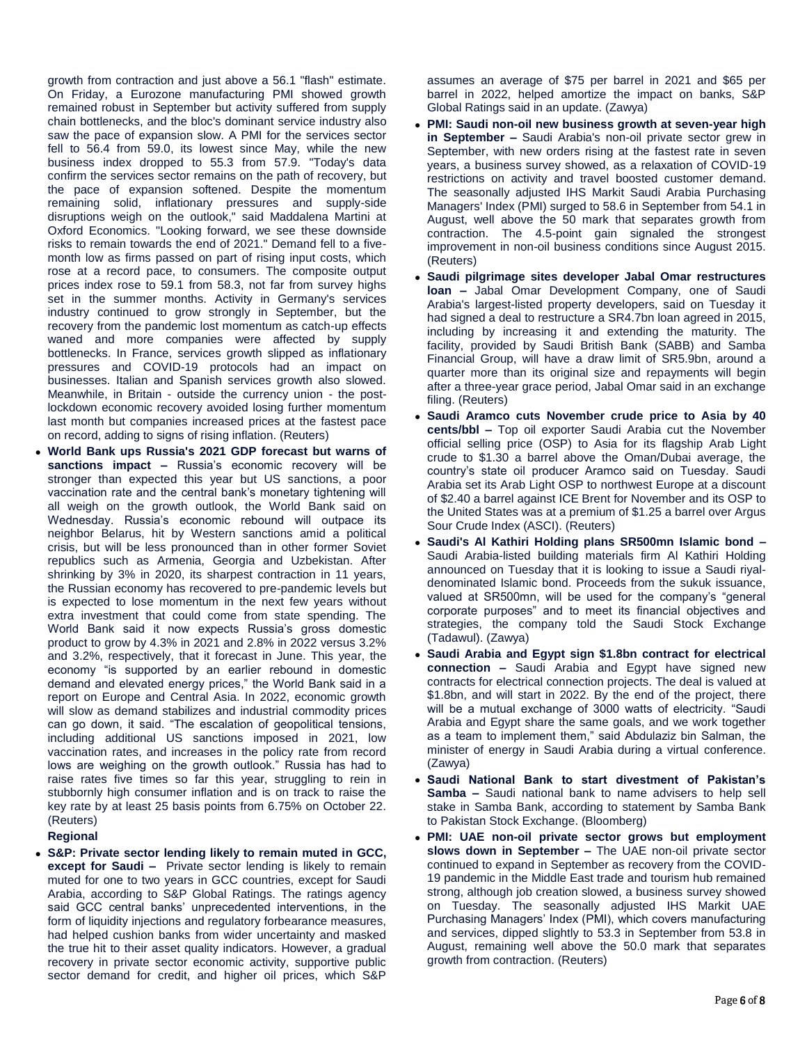growth from contraction and just above a 56.1 "flash" estimate. On Friday, a Eurozone manufacturing PMI showed growth remained robust in September but activity suffered from supply chain bottlenecks, and the bloc's dominant service industry also saw the pace of expansion slow. A PMI for the services sector fell to 56.4 from 59.0, its lowest since May, while the new business index dropped to 55.3 from 57.9. "Today's data confirm the services sector remains on the path of recovery, but the pace of expansion softened. Despite the momentum remaining solid, inflationary pressures and supply-side disruptions weigh on the outlook," said Maddalena Martini at Oxford Economics. "Looking forward, we see these downside risks to remain towards the end of 2021." Demand fell to a fivemonth low as firms passed on part of rising input costs, which rose at a record pace, to consumers. The composite output prices index rose to 59.1 from 58.3, not far from survey highs set in the summer months. Activity in Germany's services industry continued to grow strongly in September, but the recovery from the pandemic lost momentum as catch-up effects waned and more companies were affected by supply bottlenecks. In France, services growth slipped as inflationary pressures and COVID-19 protocols had an impact on businesses. Italian and Spanish services growth also slowed. Meanwhile, in Britain - outside the currency union - the postlockdown economic recovery avoided losing further momentum last month but companies increased prices at the fastest pace on record, adding to signs of rising inflation. (Reuters)

 **World Bank ups Russia's 2021 GDP forecast but warns of sanctions impact –** Russia's economic recovery will be stronger than expected this year but US sanctions, a poor vaccination rate and the central bank's monetary tightening will all weigh on the growth outlook, the World Bank said on Wednesday. Russia's economic rebound will outpace its neighbor Belarus, hit by Western sanctions amid a political crisis, but will be less pronounced than in other former Soviet republics such as Armenia, Georgia and Uzbekistan. After shrinking by 3% in 2020, its sharpest contraction in 11 years, the Russian economy has recovered to pre-pandemic levels but is expected to lose momentum in the next few years without extra investment that could come from state spending. The World Bank said it now expects Russia's gross domestic product to grow by 4.3% in 2021 and 2.8% in 2022 versus 3.2% and 3.2%, respectively, that it forecast in June. This year, the economy "is supported by an earlier rebound in domestic demand and elevated energy prices," the World Bank said in a report on Europe and Central Asia. In 2022, economic growth will slow as demand stabilizes and industrial commodity prices can go down, it said. "The escalation of geopolitical tensions, including additional US sanctions imposed in 2021, low vaccination rates, and increases in the policy rate from record lows are weighing on the growth outlook." Russia has had to raise rates five times so far this year, struggling to rein in stubbornly high consumer inflation and is on track to raise the key rate by at least 25 basis points from 6.75% on October 22. (Reuters)

# **Regional**

 **S&P: Private sector lending likely to remain muted in GCC, except for Saudi –** Private sector lending is likely to remain muted for one to two years in GCC countries, except for Saudi Arabia, according to S&P Global Ratings. The ratings agency said GCC central banks' unprecedented interventions, in the form of liquidity injections and regulatory forbearance measures, had helped cushion banks from wider uncertainty and masked the true hit to their asset quality indicators. However, a gradual recovery in private sector economic activity, supportive public sector demand for credit, and higher oil prices, which S&P

assumes an average of \$75 per barrel in 2021 and \$65 per barrel in 2022, helped amortize the impact on banks, S&P Global Ratings said in an update. (Zawya)

- **PMI: Saudi non-oil new business growth at seven-year high in September –** Saudi Arabia's non-oil private sector grew in September, with new orders rising at the fastest rate in seven years, a business survey showed, as a relaxation of COVID-19 restrictions on activity and travel boosted customer demand. The seasonally adjusted IHS Markit Saudi Arabia Purchasing Managers' Index (PMI) surged to 58.6 in September from 54.1 in August, well above the 50 mark that separates growth from contraction. The 4.5-point gain signaled the strongest improvement in non-oil business conditions since August 2015. (Reuters)
- **Saudi pilgrimage sites developer Jabal Omar restructures loan –** Jabal Omar Development Company, one of Saudi Arabia's largest-listed property developers, said on Tuesday it had signed a deal to restructure a SR4.7bn loan agreed in 2015, including by increasing it and extending the maturity. The facility, provided by Saudi British Bank (SABB) and Samba Financial Group, will have a draw limit of SR5.9bn, around a quarter more than its original size and repayments will begin after a three-year grace period, Jabal Omar said in an exchange filing. (Reuters)
- **Saudi Aramco cuts November crude price to Asia by 40 cents/bbl –** Top oil exporter Saudi Arabia cut the November official selling price (OSP) to Asia for its flagship Arab Light crude to \$1.30 a barrel above the Oman/Dubai average, the country's state oil producer Aramco said on Tuesday. Saudi Arabia set its Arab Light OSP to northwest Europe at a discount of \$2.40 a barrel against ICE Brent for November and its OSP to the United States was at a premium of \$1.25 a barrel over Argus Sour Crude Index (ASCI). (Reuters)
- **Saudi's Al Kathiri Holding plans SR500mn Islamic bond –** Saudi Arabia-listed building materials firm Al Kathiri Holding announced on Tuesday that it is looking to issue a Saudi riyaldenominated Islamic bond. Proceeds from the sukuk issuance, valued at SR500mn, will be used for the company's "general corporate purposes" and to meet its financial objectives and strategies, the company told the Saudi Stock Exchange (Tadawul). (Zawya)
- **Saudi Arabia and Egypt sign \$1.8bn contract for electrical connection –** Saudi Arabia and Egypt have signed new contracts for electrical connection projects. The deal is valued at \$1.8bn, and will start in 2022. By the end of the project, there will be a mutual exchange of 3000 watts of electricity. "Saudi Arabia and Egypt share the same goals, and we work together as a team to implement them," said Abdulaziz bin Salman, the minister of energy in Saudi Arabia during a virtual conference. (Zawya)
- **Saudi National Bank to start divestment of Pakistan's Samba –** Saudi national bank to name advisers to help sell stake in Samba Bank, according to statement by Samba Bank to Pakistan Stock Exchange. (Bloomberg)
- **PMI: UAE non-oil private sector grows but employment slows down in September –** The UAE non-oil private sector continued to expand in September as recovery from the COVID-19 pandemic in the Middle East trade and tourism hub remained strong, although job creation slowed, a business survey showed on Tuesday. The seasonally adjusted IHS Markit UAE Purchasing Managers' Index (PMI), which covers manufacturing and services, dipped slightly to 53.3 in September from 53.8 in August, remaining well above the 50.0 mark that separates growth from contraction. (Reuters)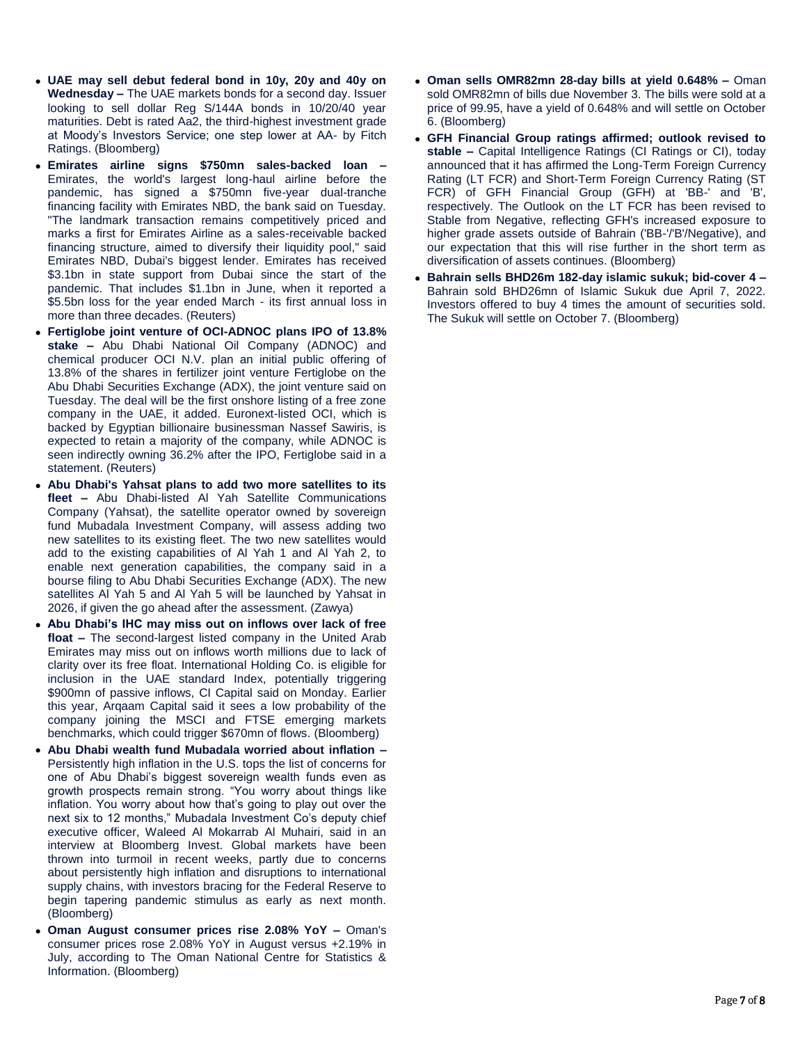- **UAE may sell debut federal bond in 10y, 20y and 40y on Wednesday –** The UAE markets bonds for a second day. Issuer looking to sell dollar Reg S/144A bonds in 10/20/40 year maturities. Debt is rated Aa2, the third-highest investment grade at Moody's Investors Service; one step lower at AA- by Fitch Ratings. (Bloomberg)
- **Emirates airline signs \$750mn sales-backed loan –** Emirates, the world's largest long-haul airline before the pandemic, has signed a \$750mn five-year dual-tranche financing facility with Emirates NBD, the bank said on Tuesday. "The landmark transaction remains competitively priced and marks a first for Emirates Airline as a sales-receivable backed financing structure, aimed to diversify their liquidity pool," said Emirates NBD, Dubai's biggest lender. Emirates has received \$3.1bn in state support from Dubai since the start of the pandemic. That includes \$1.1bn in June, when it reported a \$5.5bn loss for the year ended March - its first annual loss in more than three decades. (Reuters)
- **Fertiglobe joint venture of OCI-ADNOC plans IPO of 13.8% stake –** Abu Dhabi National Oil Company (ADNOC) and chemical producer OCI N.V. plan an initial public offering of 13.8% of the shares in fertilizer joint venture Fertiglobe on the Abu Dhabi Securities Exchange (ADX), the joint venture said on Tuesday. The deal will be the first onshore listing of a free zone company in the UAE, it added. Euronext-listed OCI, which is backed by Egyptian billionaire businessman Nassef Sawiris, is expected to retain a majority of the company, while ADNOC is seen indirectly owning 36.2% after the IPO, Fertiglobe said in a statement. (Reuters)
- **Abu Dhabi's Yahsat plans to add two more satellites to its fleet –** Abu Dhabi-listed Al Yah Satellite Communications Company (Yahsat), the satellite operator owned by sovereign fund Mubadala Investment Company, will assess adding two new satellites to its existing fleet. The two new satellites would add to the existing capabilities of Al Yah 1 and Al Yah 2, to enable next generation capabilities, the company said in a bourse filing to Abu Dhabi Securities Exchange (ADX). The new satellites Al Yah 5 and Al Yah 5 will be launched by Yahsat in 2026, if given the go ahead after the assessment. (Zawya)
- **Abu Dhabi's IHC may miss out on inflows over lack of free float –** The second-largest listed company in the United Arab Emirates may miss out on inflows worth millions due to lack of clarity over its free float. International Holding Co. is eligible for inclusion in the UAE standard Index, potentially triggering \$900mn of passive inflows, CI Capital said on Monday. Earlier this year, Arqaam Capital said it sees a low probability of the company joining the MSCI and FTSE emerging markets benchmarks, which could trigger \$670mn of flows. (Bloomberg)
- **Abu Dhabi wealth fund Mubadala worried about inflation –** Persistently high inflation in the U.S. tops the list of concerns for one of Abu Dhabi's biggest sovereign wealth funds even as growth prospects remain strong. "You worry about things like inflation. You worry about how that's going to play out over the next six to 12 months," Mubadala Investment Co's deputy chief executive officer, Waleed Al Mokarrab Al Muhairi, said in an interview at Bloomberg Invest. Global markets have been thrown into turmoil in recent weeks, partly due to concerns about persistently high inflation and disruptions to international supply chains, with investors bracing for the Federal Reserve to begin tapering pandemic stimulus as early as next month. (Bloomberg)
- **Oman August consumer prices rise 2.08% YoY –** Oman's consumer prices rose 2.08% YoY in August versus +2.19% in July, according to The Oman National Centre for Statistics & Information. (Bloomberg)
- **Oman sells OMR82mn 28-day bills at yield 0.648% –** Oman sold OMR82mn of bills due November 3. The bills were sold at a price of 99.95, have a yield of 0.648% and will settle on October 6. (Bloomberg)
- **GFH Financial Group ratings affirmed; outlook revised to stable –** Capital Intelligence Ratings (CI Ratings or CI), today announced that it has affirmed the Long-Term Foreign Currency Rating (LT FCR) and Short-Term Foreign Currency Rating (ST FCR) of GFH Financial Group (GFH) at 'BB-' and 'B', respectively. The Outlook on the LT FCR has been revised to Stable from Negative, reflecting GFH's increased exposure to higher grade assets outside of Bahrain ('BB-'/'B'/Negative), and our expectation that this will rise further in the short term as diversification of assets continues. (Bloomberg)
- **Bahrain sells BHD26m 182-day islamic sukuk; bid-cover 4 –** Bahrain sold BHD26mn of Islamic Sukuk due April 7, 2022. Investors offered to buy 4 times the amount of securities sold. The Sukuk will settle on October 7. (Bloomberg)